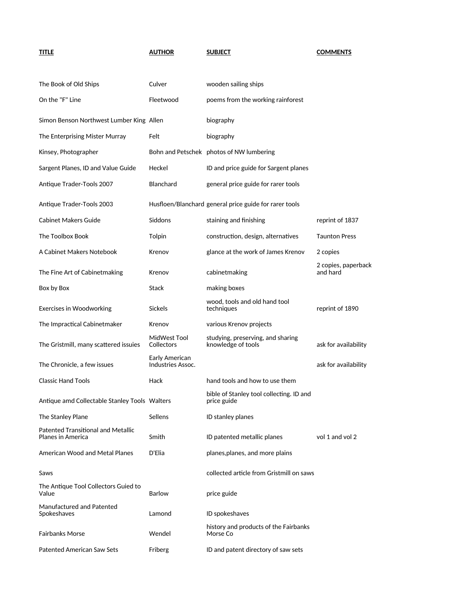| <b>TITLE</b>                                            | <b>AUTHOR</b>                       | <b>SUBJECT</b>                                          | <b>COMMENTS</b>                 |
|---------------------------------------------------------|-------------------------------------|---------------------------------------------------------|---------------------------------|
| The Book of Old Ships                                   | Culver                              | wooden sailing ships                                    |                                 |
| On the "F" Line                                         | Fleetwood                           | poems from the working rainforest                       |                                 |
| Simon Benson Northwest Lumber King Allen                |                                     | biography                                               |                                 |
| The Enterprising Mister Murray                          | Felt                                | biography                                               |                                 |
| Kinsey, Photographer                                    |                                     | Bohn and Petschek photos of NW lumbering                |                                 |
| Sargent Planes, ID and Value Guide                      | Heckel                              | ID and price guide for Sargent planes                   |                                 |
| Antique Trader-Tools 2007                               | <b>Blanchard</b>                    | general price guide for rarer tools                     |                                 |
| Antique Trader-Tools 2003                               |                                     | Husfloen/Blanchard general price guide for rarer tools  |                                 |
| <b>Cabinet Makers Guide</b>                             | Siddons                             | staining and finishing                                  | reprint of 1837                 |
| The Toolbox Book                                        | Tolpin                              | construction, design, alternatives                      | <b>Taunton Press</b>            |
| A Cabinet Makers Notebook                               | Krenov                              | glance at the work of James Krenov                      | 2 copies                        |
| The Fine Art of Cabinetmaking                           | Krenov                              | cabinetmaking                                           | 2 copies, paperback<br>and hard |
| Box by Box                                              | Stack                               | making boxes                                            |                                 |
| Exercises in Woodworking                                | <b>Sickels</b>                      | wood, tools and old hand tool<br>techniques             | reprint of 1890                 |
| The Impractical Cabinetmaker                            | Krenov                              | various Krenov projects                                 |                                 |
| The Gristmill, many scattered issuies                   | MidWest Tool<br>Collectors          | studying, preserving, and sharing<br>knowledge of tools | ask for availability            |
| The Chronicle, a few issues                             | Early American<br>Industries Assoc. |                                                         | ask for availability            |
| <b>Classic Hand Tools</b>                               | Hack                                | hand tools and how to use them                          |                                 |
| Antique amd Collectable Stanley Tools Walters           |                                     | bible of Stanley tool collecting. ID and<br>price guide |                                 |
| The Stanley Plane                                       | Sellens                             | ID stanley planes                                       |                                 |
| Patented Transitional and Metallic<br>Planes in America | Smith                               | ID patented metallic planes                             | vol 1 and vol 2                 |
| American Wood and Metal Planes                          | D'Elia                              | planes, planes, and more plains                         |                                 |
| Saws                                                    |                                     | collected article from Gristmill on saws                |                                 |
| The Antique Tool Collectors Guied to<br>Value           | <b>Barlow</b>                       | price guide                                             |                                 |
| Manufactured and Patented<br>Spokeshaves                | Lamond                              | ID spokeshaves                                          |                                 |
| Fairbanks Morse                                         | Wendel                              | history and products of the Fairbanks<br>Morse Co       |                                 |
| <b>Patented American Saw Sets</b>                       | Friberg                             | ID and patent directory of saw sets                     |                                 |